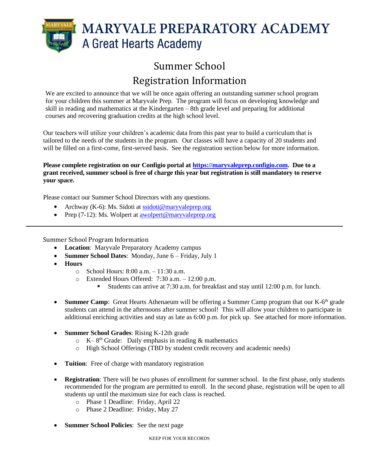

# Summer School Registration Information

We are excited to announce that we will be once again offering an outstanding summer school program for your children this summer at Maryvale Prep. The program will focus on developing knowledge and skill in reading and mathematics at the Kindergarten – 8th grade level and preparing for additional courses and recovering graduation credits at the high school level.

Our teachers will utilize your children's academic data from this past year to build a curriculum that is tailored to the needs of the students in the program. Our classes will have a capacity of 20 students and will be filled on a first-come, first-served basis. See the registration section below for more information.

**Please complete registration on our Configio portal at [https://maryvaleprep.configio.com.](https://maryvaleprep.configio.com/) Due to a grant received, summer school is free of charge this year but registration is still mandatory to reserve your space.** 

Please contact our Summer School Directors with any questions.

- Archway (K-6): Ms. Sidoti a[t ssidoti@maryvaleprep.org](mailto:ssidoti@maryvaleprep.org)
- Prep (7-12): Ms. Wolpert at [awolpert@maryvaleprep.org](mailto:awolpert@maryvaleprep.org)

Summer School Program Information

- **Location**: Maryvale Preparatory Academy campus
- **Summer School Dates**: Monday, June 6 Friday, July 1
- **Hours**
	- $\circ$  School Hours: 8:00 a.m.  $-11:30$  a.m.
	- o Extended Hours Offered: 7:30 a.m. 12:00 p.m.
		- Students can arrive at 7:30 a.m. for breakfast and stay until 12:00 p.m. for lunch.
- Summer Camp: Great Hearts Athenaeum will be offering a Summer Camp program that our K-6<sup>th</sup> grade students can attend in the afternoons after summer school! This will allow your children to participate in additional enriching activities and stay as late as 6:00 p.m. for pick up. See attached for more information.
- **Summer School Grades**: Rising K-12th grade
	- $\circ$  K–8<sup>th</sup> Grade: Daily emphasis in reading & mathematics
	- o High School Offerings (TBD by student credit recovery and academic needs)
- **Tuition**: Free of charge with mandatory registration
- **Registration**: There will be two phases of enrollment for summer school. In the first phase, only students recommended for the program are permitted to enroll. In the second phase, registration will be open to all students up until the maximum size for each class is reached.
	- o Phase 1 Deadline: Friday, April 22
	- o Phase 2 Deadline: Friday, May 27
- **Summer School Policies**: See the next page